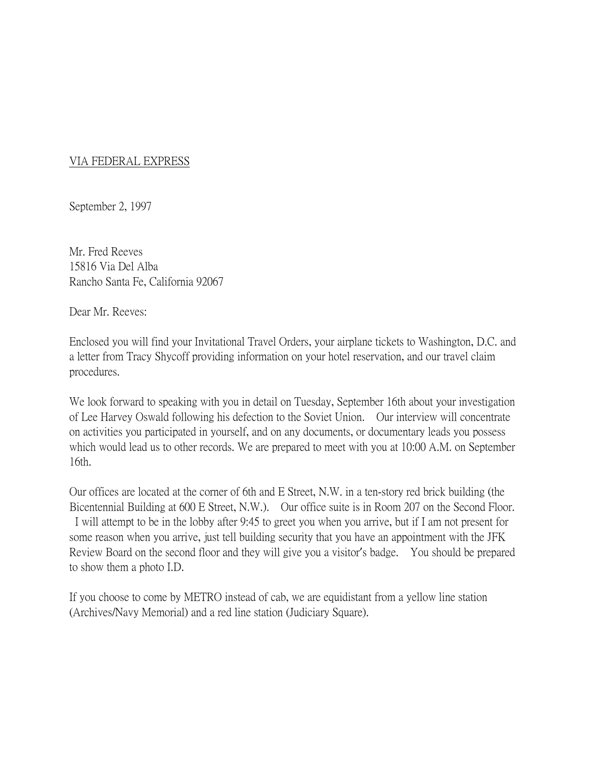## VIA FEDERAL EXPRESS

September 2, 1997

Mr. Fred Reeves 15816 Via Del Alba Rancho Santa Fe, California 92067

Dear Mr. Reeves:

Enclosed you will find your Invitational Travel Orders, your airplane tickets to Washington, D.C. and a letter from Tracy Shycoff providing information on your hotel reservation, and our travel claim procedures.

We look forward to speaking with you in detail on Tuesday, September 16th about your investigation of Lee Harvey Oswald following his defection to the Soviet Union. Our interview will concentrate on activities you participated in yourself, and on any documents, or documentary leads you possess which would lead us to other records. We are prepared to meet with you at 10:00 A.M. on September 16th.

Our offices are located at the corner of 6th and E Street, N.W. in a ten-story red brick building (the Bicentennial Building at 600 E Street, N.W.). Our office suite is in Room 207 on the Second Floor. I will attempt to be in the lobby after 9:45 to greet you when you arrive, but if I am not present for some reason when you arrive, just tell building security that you have an appointment with the JFK Review Board on the second floor and they will give you a visitor's badge. You should be prepared to show them a photo I.D.

If you choose to come by METRO instead of cab, we are equidistant from a yellow line station (Archives/Navy Memorial) and a red line station (Judiciary Square).